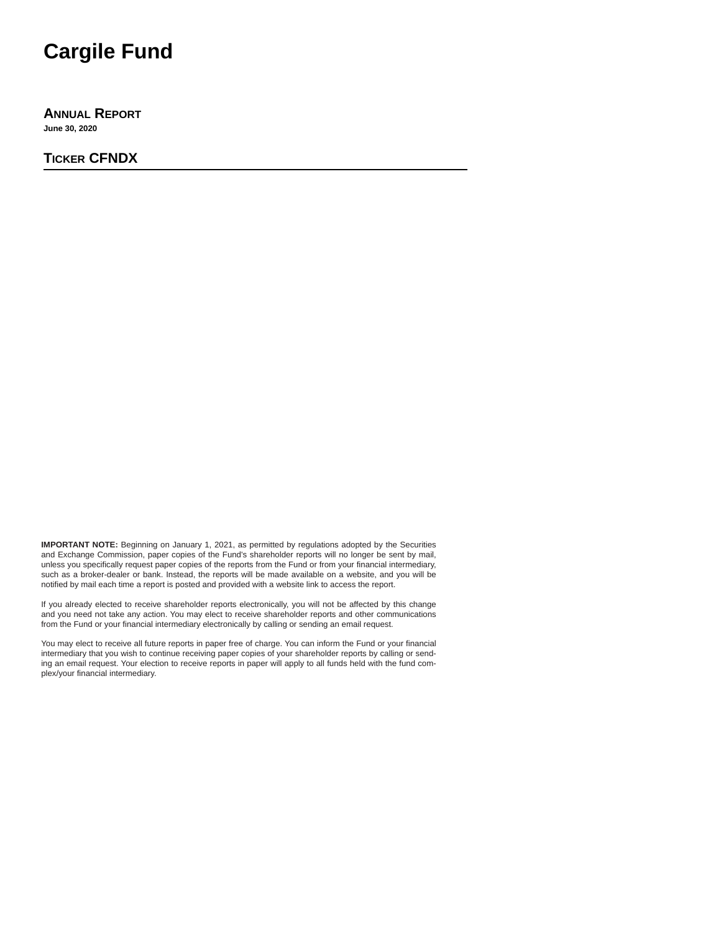# **Cargile Fund**

**ANNUAL REPORT**

**June 30, 2020**

**TICKER CFNDX**

**IMPORTANT NOTE:** Beginning on January 1, 2021, as permitted by regulations adopted by the Securities and Exchange Commission, paper copies of the Fund's shareholder reports will no longer be sent by mail, unless you specifically request paper copies of the reports from the Fund or from your financial intermediary, such as a broker-dealer or bank. Instead, the reports will be made available on a website, and you will be notified by mail each time a report is posted and provided with a website link to access the report.

If you already elected to receive shareholder reports electronically, you will not be affected by this change and you need not take any action. You may elect to receive shareholder reports and other communications from the Fund or your financial intermediary electronically by calling or sending an email request.

You may elect to receive all future reports in paper free of charge. You can inform the Fund or your financial intermediary that you wish to continue receiving paper copies of your shareholder reports by calling or sending an email request. Your election to receive reports in paper will apply to all funds held with the fund complex/your financial intermediary.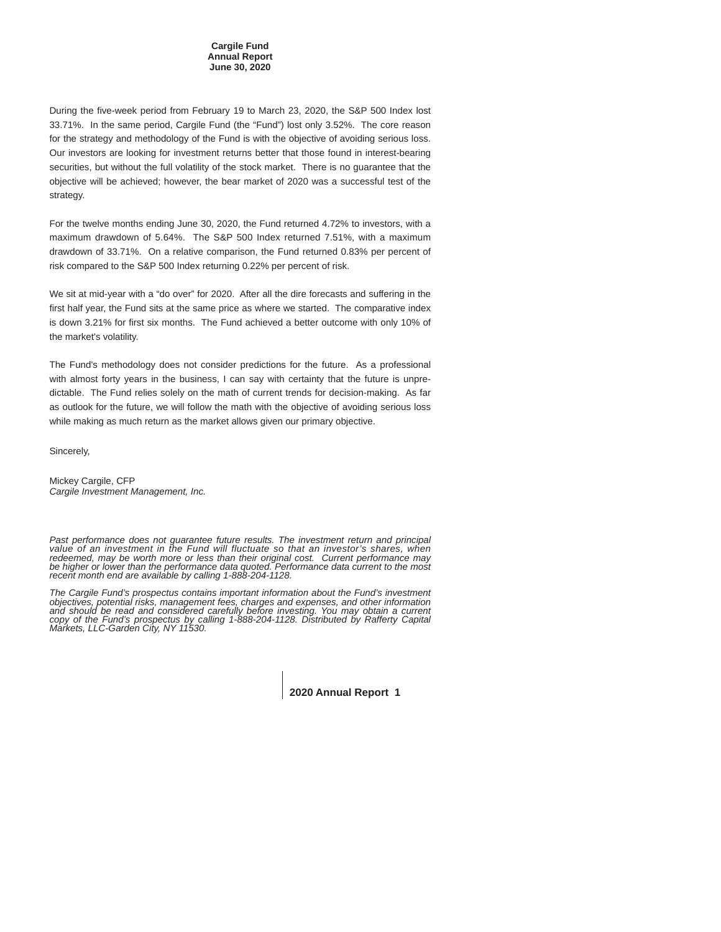# **Cargile Fund Annual Report June 30, 2020**

During the five-week period from February 19 to March 23, 2020, the S&P 500 Index lost 33.71%. In the same period, Cargile Fund (the "Fund") lost only 3.52%. The core reason for the strategy and methodology of the Fund is with the objective of avoiding serious loss. Our investors are looking for investment returns better that those found in interest-bearing securities, but without the full volatility of the stock market. There is no guarantee that the objective will be achieved; however, the bear market of 2020 was a successful test of the strategy.

For the twelve months ending June 30, 2020, the Fund returned 4.72% to investors, with a maximum drawdown of 5.64%. The S&P 500 Index returned 7.51%, with a maximum drawdown of 33.71%. On a relative comparison, the Fund returned 0.83% per percent of risk compared to the S&P 500 Index returning 0.22% per percent of risk.

We sit at mid-year with a "do over" for 2020. After all the dire forecasts and suffering in the first half year, the Fund sits at the same price as where we started. The comparative index is down 3.21% for first six months. The Fund achieved a better outcome with only 10% of the market's volatility.

The Fund's methodology does not consider predictions for the future. As a professional with almost forty years in the business, I can say with certainty that the future is unpredictable. The Fund relies solely on the math of current trends for decision-making. As far as outlook for the future, we will follow the math with the objective of avoiding serious loss while making as much return as the market allows given our primary objective.

Sincerely,

Mickey Cargile, CFP *Cargile Investment Management, Inc.*

*Past performance does not guarantee future results. The investment return and principal value of an investment in the Fund will fluctuate so that an investor's shares, when redeemed, may be worth more or less than their original cost. Current performance may be higher or lower than the performance data quoted. Performance data current to the most recent month end are available by calling 1-888-204-1128.*

*The Cargile Fund's prospectus contains important information about the Fund's investment* objectives, potential risks, management fees, charges and expenses, and other information<br>and should be read and considered carefully before investing. You may obtain a current<br>copy of the Fund's prospectus by calling 1-88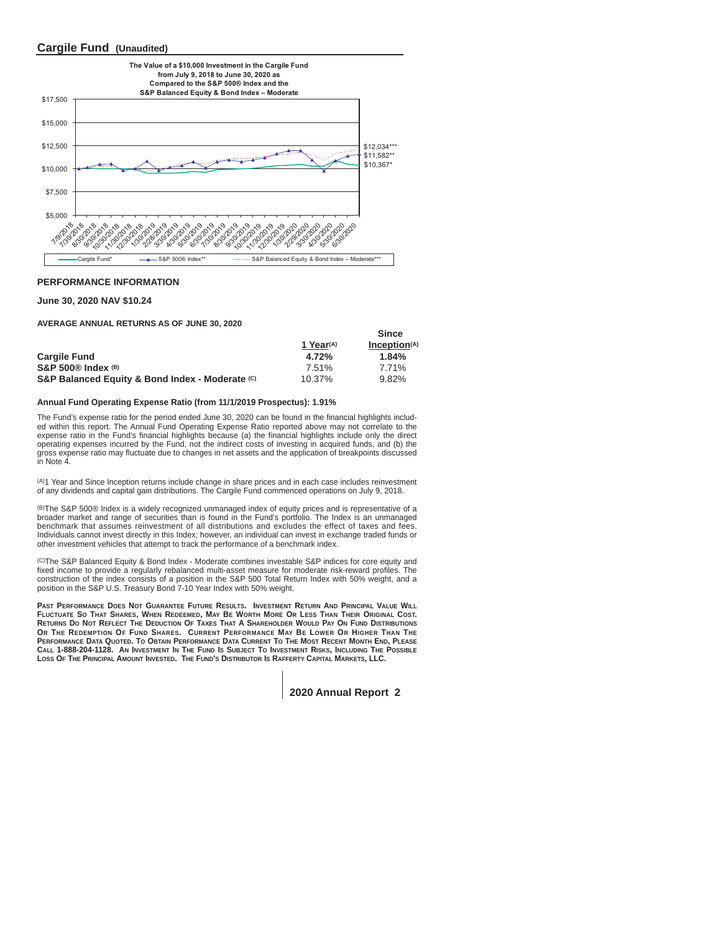# **Cargile Fund (Unaudited)**



# **PERFORMANCE INFORMATION**

# **June 30, 2020 NAV \$10.24**

#### **AVERAGE ANNUAL RETURNS AS OF JUNE 30, 2020**

|                                                 |           | <b>Since</b>             |
|-------------------------------------------------|-----------|--------------------------|
|                                                 | 1 Year(A) | Inception <sup>(A)</sup> |
| <b>Cargile Fund</b>                             | 4.72%     | 1.84%                    |
| <b>S&amp;P 500® Index (B)</b>                   | 7.51%     | 7.71%                    |
| S&P Balanced Equity & Bond Index - Moderate (C) | $10.37\%$ | 9.82%                    |

#### **Annual Fund Operating Expense Ratio (from 11/1/2019 Prospectus): 1.91%**

The Fund's expense ratio for the period ended June 30, 2020 can be found in the financial highlights included within this report. The Annual Fund Operating Expense Ratio reported above may not correlate to the expense ratio in the Fund's financial highlights because (a) the financial highlights include only the direct operating expenses incurred by the Fund, not the indirect costs of investing in acquired funds, and (b) the gross expense ratio may fluctuate due to changes in net assets and the application of breakpoints discussed in Note 4.

(A)1 Year and Since Inception returns include change in share prices and in each case includes reinvestment of any dividends and capital gain distributions. The Cargile Fund commenced operations on July 9, 2018.

(B)The S&P 500® Index is a widely recognized unmanaged index of equity prices and is representative of a broader market and range of securities than is found in the Fund's portfolio. The Index is an unmanaged benchmark that assumes reinvestment of all distributions and excludes the effect of taxes and fees. Individuals cannot invest directly in this Index; however, an individual can invest in exchange traded funds or other investment vehicles that attempt to track the performance of a benchmark index.

(C)The S&P Balanced Equity & Bond Index - Moderate combines investable S&P indices for core equity and fixed income to provide a regularly rebalanced multi-asset measure for moderate risk-reward profiles. The construction of the index consists of a position in the S&P 500 Total Return Index with 50% weight, and a position in the S&P U.S. Treasury Bond 7-10 Year Index with 50% weight.

**PAST PERFORMANCE DOES NOT GUARANTEE FUTURE RESULTS. INVESTMENT RETURN AND PRINCIPAL VALUE WILL FLUCTUATE SO THAT SHARES, WHEN REDEEMED, MAY BE WORTH MORE OR LESS THAN THEIR ORIGINAL COST. RETURNS DO NOT REFLECT THE DEDUCTION OF TAXES THAT A SHAREHOLDER WOULD PAY ON FUND DISTRIBUTIONS OR THE REDEMPTION OF FUND SHARES. CURRENT PERFORMANCE MAY BE LOWER OR HIGHER THAN THE PERFORMANCE DATA QUOTED. TO OBTAIN PERFORMANCE DATA CURRENT TO THE MOST RECENT MONTH END, PLEASE CALL 1-888-204-1128. AN INVESTMENT IN THE FUND IS SUBJECT TO INVESTMENT RISKS, INCLUDING THE POSSIBLE LOSS OF THE PRINCIPAL AMOUNT INVESTED. THE FUND'S DISTRIBUTOR IS RAFFERTY CAPITAL MARKETS, LLC.**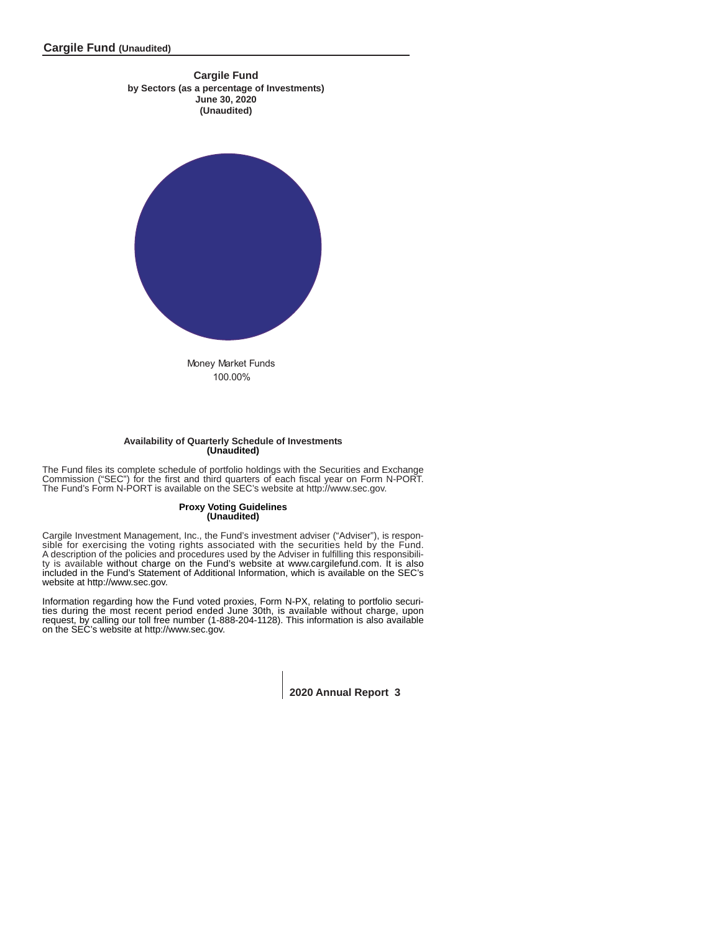

Money Market Funds 100.00%

# **Availability of Quarterly Schedule of Investments (Unaudited)**

The Fund files its complete schedule of portfolio holdings with the Securities and Exchange Commission ("SEC") for the first and third quarters of each fiscal year on Form N-PORT. The Fund's Form N-PORT is available on the SEC's website at http://www.sec.gov.

#### **Proxy Voting Guidelines (Unaudited)**

Cargile Investment Management, Inc., the Fund's investment adviser ("Adviser"), is responsible for exercising the voting rights associated with the securities held by the Fund. A description of the policies and procedures used by the Adviser in fulfilling this responsibility is available without charge on the Fund's website at www.cargilefund.com. It is also included in the Fund's Statement of Additional Information, which is available on the SEC's website at http://www.sec.gov.

Information regarding how the Fund voted proxies, Form N-PX, relating to portfolio securities during the most recent period ended June 30th, is available without charge, upon request, by calling our toll free number (1-888-204-1128). This information is also available on the SEC's website at http://www.sec.gov.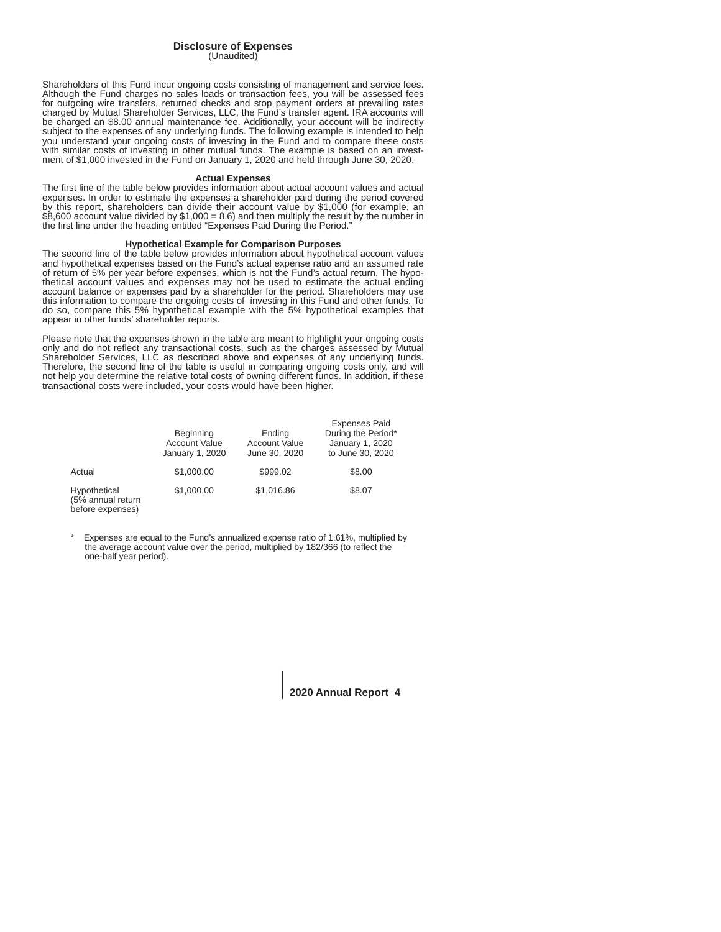#### **Disclosure of Expenses** (Unaudited)

Shareholders of this Fund incur ongoing costs consisting of management and service fees. Although the Fund charges no sales loads or transaction fees, you will be assessed fees for outgoing wire transfers, returned checks and stop payment orders at prevailing rates charged by Mutual Shareholder Services, LLC, the Fund's transfer agent. IRA accounts will be charged an \$8.00 annual maintenance fee. Additionally, your account will be indirectly subject to the expenses of any underlying funds. The following example is intended to help you understand your ongoing costs of investing in the Fund and to compare these costs with similar costs of investing in other mutual funds. The example is based on an investment of \$1,000 invested in the Fund on January 1, 2020 and held through June 30, 2020.

#### **Actual Expenses**

The first line of the table below provides information about actual account values and actual expenses. In order to estimate the expenses a shareholder paid during the period covered by this report, shareholders can divide their account value by \$1,000 (for example, an \$8,600 account value divided by \$1,000 = 8.6) and then multiply the result by the number in the first line under the heading entitled "Expenses Paid During the Period."

#### **Hypothetical Example for Comparison Purposes**

The second line of the table below provides information about hypothetical account values and hypothetical expenses based on the Fund's actual expense ratio and an assumed rate of return of 5% per year before expenses, which is not the Fund's actual return. The hypothetical account values and expenses may not be used to estimate the actual ending account balance or expenses paid by a shareholder for the period. Shareholders may use this information to compare the ongoing costs of investing in this Fund and other funds. To do so, compare this 5% hypothetical example with the 5% hypothetical examples that appear in other funds' shareholder reports.

Please note that the expenses shown in the table are meant to highlight your ongoing costs only and do not reflect any transactional costs, such as the charges assessed by Mutual Shareholder Services, LLC as described above and expenses of any underlying funds. Therefore, the second line of the table is useful in comparing ongoing costs only, and will not help you determine the relative total costs of owning different funds. In addition, if these transactional costs were included, your costs would have been higher.

|                                                       | <b>Beginning</b><br><b>Account Value</b><br>January 1, 2020 | Ending<br><b>Account Value</b><br>June 30, 2020 | <b>Expenses Paid</b><br>During the Period*<br>January 1, 2020<br>to June 30, 2020 |
|-------------------------------------------------------|-------------------------------------------------------------|-------------------------------------------------|-----------------------------------------------------------------------------------|
| Actual                                                | \$1,000.00                                                  | \$999.02                                        | \$8.00                                                                            |
| Hypothetical<br>(5% annual return<br>before expenses) | \$1,000.00                                                  | \$1,016.86                                      | \$8.07                                                                            |

Expenses are equal to the Fund's annualized expense ratio of 1.61%, multiplied by the average account value over the period, multiplied by 182/366 (to reflect the one-half year period).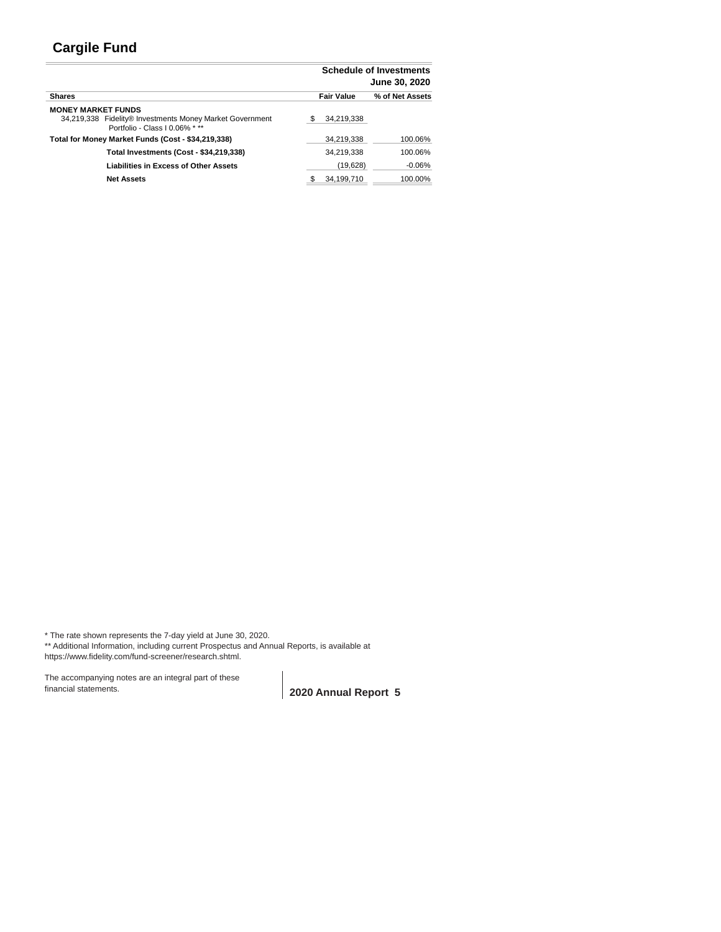# **Cargile Fund**

| <b>Schedule of Investments</b><br><b>June 30, 2020</b>                                                                 |                   |                 |  |
|------------------------------------------------------------------------------------------------------------------------|-------------------|-----------------|--|
| <b>Shares</b>                                                                                                          | <b>Fair Value</b> | % of Net Assets |  |
| <b>MONEY MARKET FUNDS</b><br>34,219,338 Fidelity® Investments Money Market Government<br>Portfolio - Class I 0.06% *** | 34.219.338<br>SS. |                 |  |
| Total for Money Market Funds (Cost - \$34,219,338)                                                                     | 34.219.338        | 100.06%         |  |
| <b>Total Investments (Cost - \$34,219,338)</b>                                                                         | 34,219,338        | 100.06%         |  |
| <b>Liabilities in Excess of Other Assets</b>                                                                           | (19,628)          | $-0.06%$        |  |
| <b>Net Assets</b>                                                                                                      | 34.199.710        | 100.00%         |  |

\* The rate shown represents the 7-day yield at June 30, 2020.

\*\* Additional Information, including current Prospectus and Annual Reports, is available at https://www.fidelity.com/fund-screener/research.shtml.

The accompanying notes are an integral part of these financial statements.

**2020 Annual Report 5**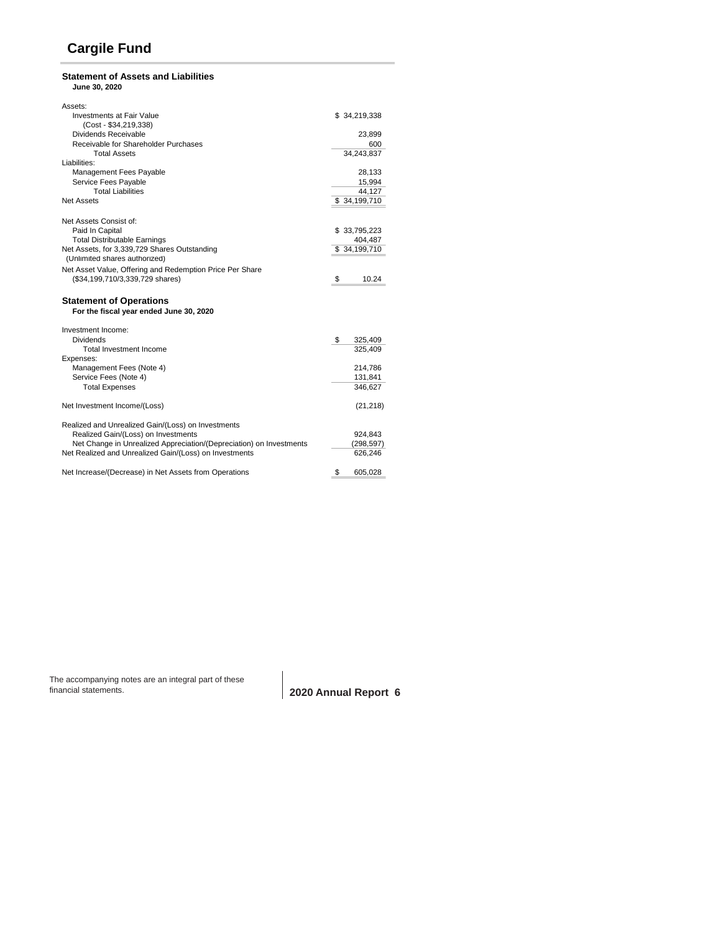# **Cargile Fund**

# **Statement of Assets and Liabilities June 30, 2020**

| Assets:                                                             |    |              |
|---------------------------------------------------------------------|----|--------------|
| Investments at Fair Value                                           |    | \$34,219,338 |
| (Cost - \$34,219,338)                                               |    |              |
| Dividends Receivable                                                |    | 23,899       |
| Receivable for Shareholder Purchases                                |    | 600          |
| <b>Total Assets</b>                                                 |    | 34,243,837   |
| Liabilities:                                                        |    |              |
| Management Fees Payable                                             |    | 28,133       |
| Service Fees Payable                                                |    | 15,994       |
| <b>Total Liabilities</b>                                            |    | 44,127       |
| Net Assets                                                          |    | \$34,199,710 |
|                                                                     |    |              |
| Net Assets Consist of:                                              |    |              |
| Paid In Capital                                                     |    | \$33,795,223 |
| <b>Total Distributable Earnings</b>                                 |    | 404,487      |
| Net Assets, for 3,339,729 Shares Outstanding                        |    | \$34,199,710 |
| (Unlimited shares authorized)                                       |    |              |
| Net Asset Value, Offering and Redemption Price Per Share            |    |              |
| (\$34,199,710/3,339,729 shares)                                     | \$ | 10.24        |
|                                                                     |    |              |
| <b>Statement of Operations</b>                                      |    |              |
| For the fiscal year ended June 30, 2020                             |    |              |
| Investment Income:                                                  |    |              |
| <b>Dividends</b>                                                    | \$ | 325,409      |
| Total Investment Income                                             |    | 325,409      |
| Expenses:                                                           |    |              |
| Management Fees (Note 4)                                            |    | 214,786      |
| Service Fees (Note 4)                                               |    | 131,841      |
| <b>Total Expenses</b>                                               |    | 346,627      |
|                                                                     |    |              |
| Net Investment Income/(Loss)                                        |    | (21, 218)    |
| Realized and Unrealized Gain/(Loss) on Investments                  |    |              |
| Realized Gain/(Loss) on Investments                                 |    | 924,843      |
| Net Change in Unrealized Appreciation/(Depreciation) on Investments |    | (298, 597)   |
| Net Realized and Unrealized Gain/(Loss) on Investments              |    | 626,246      |
|                                                                     |    |              |
| Net Increase/(Decrease) in Net Assets from Operations               | S  | 605,028      |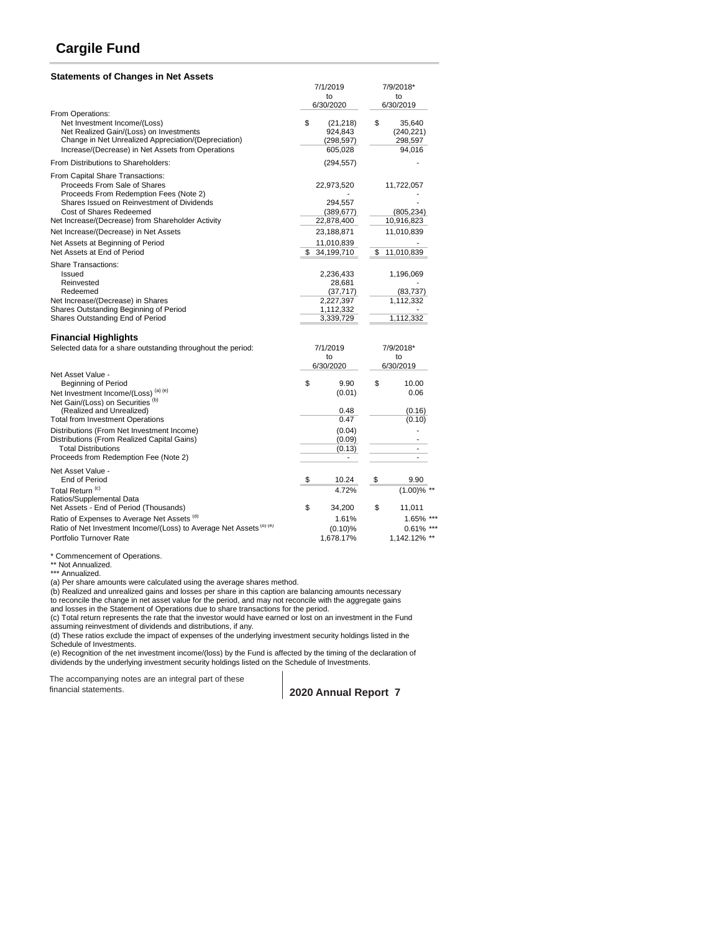# **Statements of Changes in Net Assets**

|                                                                                                                                                                                                                                                                                                                                           | 7/1/2019<br>to<br>6/30/2020                                             | 7/9/2018*<br>to<br>6/30/2019                         |
|-------------------------------------------------------------------------------------------------------------------------------------------------------------------------------------------------------------------------------------------------------------------------------------------------------------------------------------------|-------------------------------------------------------------------------|------------------------------------------------------|
| From Operations:<br>Net Investment Income/(Loss)<br>Net Realized Gain/(Loss) on Investments<br>Change in Net Unrealized Appreciation/(Depreciation)<br>Increase/(Decrease) in Net Assets from Operations                                                                                                                                  | \$<br>(21, 218)<br>924,843<br>(298,597)<br>605,028                      | \$<br>35,640<br>(240, 221)<br>298,597<br>94,016      |
| From Distributions to Shareholders:                                                                                                                                                                                                                                                                                                       | (294, 557)                                                              |                                                      |
| From Capital Share Transactions:<br>Proceeds From Sale of Shares<br>Proceeds From Redemption Fees (Note 2)<br>Shares Issued on Reinvestment of Dividends<br>Cost of Shares Redeemed<br>Net Increase/(Decrease) from Shareholder Activity<br>Net Increase/(Decrease) in Net Assets                                                         | 22,973,520<br>294,557<br>(389, 677)<br>22,878,400<br>23,188,871         | 11,722,057<br>(805, 234)<br>10,916,823<br>11,010,839 |
| Net Assets at Beginning of Period<br>Net Assets at End of Period                                                                                                                                                                                                                                                                          | \$<br>11,010,839<br>34,199,710                                          | \$<br>11,010,839                                     |
| <b>Share Transactions:</b><br>Issued<br>Reinvested<br>Redeemed<br>Net Increase/(Decrease) in Shares<br>Shares Outstanding Beginning of Period<br>Shares Outstanding End of Period                                                                                                                                                         | 2,236,433<br>28,681<br>(37, 717)<br>2,227,397<br>1,112,332<br>3,339,729 | 1,196,069<br>(83, 737)<br>1,112,332<br>1,112,332     |
| <b>Financial Highlights</b>                                                                                                                                                                                                                                                                                                               |                                                                         |                                                      |
| Selected data for a share outstanding throughout the period:                                                                                                                                                                                                                                                                              | 7/1/2019<br>to<br>6/30/2020                                             | 7/9/2018*<br>to<br>6/30/2019                         |
| Net Asset Value -<br><b>Beginning of Period</b><br>Net Investment Income/(Loss) <sup>(a)(e)</sup><br>Net Gain/(Loss) on Securities (b)<br>(Realized and Unrealized)<br><b>Total from Investment Operations</b><br>Distributions (From Net Investment Income)<br>Distributions (From Realized Capital Gains)<br><b>Total Distributions</b> | \$<br>9.90<br>(0.01)<br>0.48<br>0.47<br>(0.04)<br>(0.09)<br>(0.13)      | \$<br>10.00<br>0.06<br>(0.16)<br>(0.10)              |
| Proceeds from Redemption Fee (Note 2)<br>Net Asset Value -                                                                                                                                                                                                                                                                                |                                                                         |                                                      |
| End of Period                                                                                                                                                                                                                                                                                                                             | 10.24                                                                   | 9.90                                                 |
| Total Return <sup>(c)</sup><br>Ratios/Supplemental Data<br>Net Assets - End of Period (Thousands)                                                                                                                                                                                                                                         | \$<br>4.72%<br>34,200                                                   | \$<br>$(1.00)\%$<br>11,011                           |
| Ratio of Expenses to Average Net Assets (d)<br>Ratio of Net Investment Income/(Loss) to Average Net Assets (d) (e)<br>Portfolio Turnover Rate                                                                                                                                                                                             | 1.61%<br>$(0.10)\%$<br>1,678.17%                                        | 1.65%<br>0.61%<br>1,142.12% **                       |

\* Commencement of Operations.

\*\* Not Annualized.

\*\*\* Annualized.

(a) Per share amounts were calculated using the average shares method.

(b) Realized and unrealized gains and losses per share in this caption are balancing amounts necessary to reconcile the change in net asset value for the period, and may not reconcile with the aggregate gains and losses in the Statement of Operations due to share transactions for the period.

(c) Total return represents the rate that the investor would have earned or lost on an investment in the Fund assuming reinvestment of dividends and distributions, if any.

Schedule of Investments. (d) These ratios exclude the impact of expenses of the underlying investment security holdings listed in the

(e) Recognition of the net investment income/(loss) by the Fund is affected by the timing of the declaration of dividends by the underlying investment security holdings listed on the Schedule of Investments.

The accompanying notes are an integral part of these financial statements.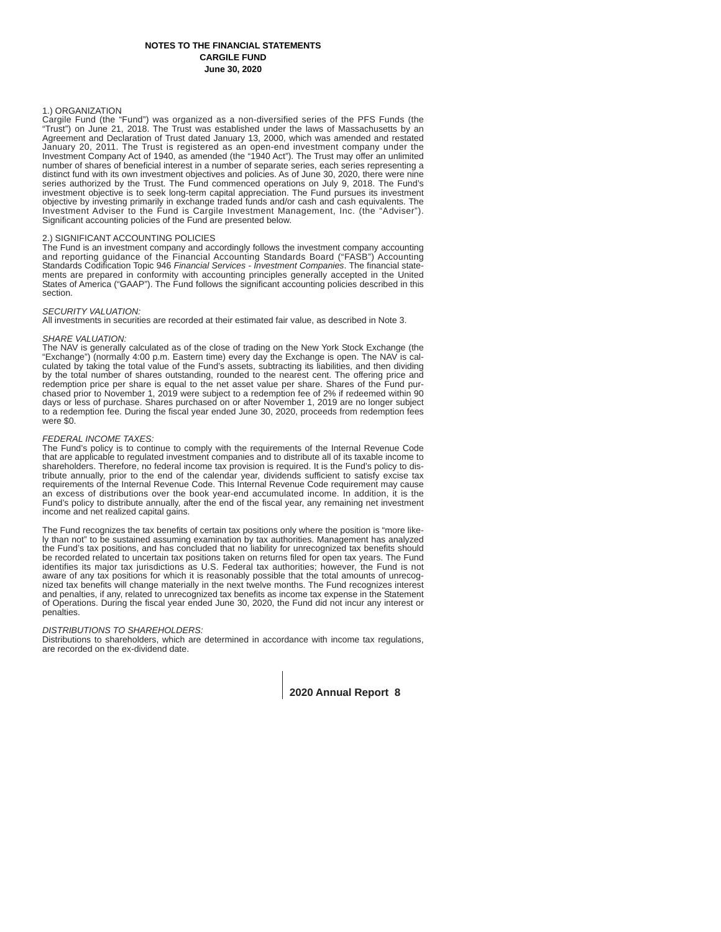# **NOTES TO THE FINANCIAL STATEMENTS CARGILE FUND June 30, 2020**

#### 1.) ORGANIZATION

Cargile Fund (the "Fund") was organized as a non-diversified series of the PFS Funds (the "Trust") on June 21, 2018. The Trust was established under the laws of Massachusetts by an Agreement and Declaration of Trust dated January 13, 2000, which was amended and restated January 20, 2011. The Trust is registered as an open-end investment company under the Investment Company Act of 1940, as amended (the "1940 Act"). The Trust may offer an unlimited number of shares of beneficial interest in a number of separate series, each series representing a distinct fund with its own investment objectives and policies. As of June 30, 2020, there were nine series authorized by the Trust. The Fund commenced operations on July 9, 2018. The Fund's investment objective is to seek long-term capital appreciation. The Fund pursues its investment objective by investing primarily in exchange traded funds and/or cash and cash equivalents. The Investment Adviser to the Fund is Cargile Investment Management, Inc. (the "Adviser"). Significant accounting policies of the Fund are presented below.

#### 2.) SIGNIFICANT ACCOUNTING POLICIES

The Fund is an investment company and accordingly follows the investment company accounting and reporting guidance of the Financial Accounting Standards Board ("FASB") Accounting Standards Codification Topic 946 *Financial Services - Investment Companies*. The financial statements are prepared in conformity with accounting principles generally accepted in the United States of America ("GAAP"). The Fund follows the significant accounting policies described in this section.

#### *SECURITY VALUATION:*

All investments in securities are recorded at their estimated fair value, as described in Note 3.

#### *SHARE VALUATION:*

The NAV is generally calculated as of the close of trading on the New York Stock Exchange (the "Exchange") (normally 4:00 p.m. Eastern time) every day the Exchange is open. The NAV is calculated by taking the total value of the Fund's assets, subtracting its liabilities, and then dividing by the total number of shares outstanding, rounded to the nearest cent. The offering price and redemption price per share is equal to the net asset value per share. Shares of the Fund purchased prior to November 1, 2019 were subject to a redemption fee of 2% if redeemed within 90 days or less of purchase. Shares purchased on or after November 1, 2019 are no longer subject to a redemption fee. During the fiscal year ended June 30, 2020, proceeds from redemption fees were \$0.

#### *FEDERAL INCOME TAXES:*

The Fund's policy is to continue to comply with the requirements of the Internal Revenue Code that are applicable to regulated investment companies and to distribute all of its taxable income to shareholders. Therefore, no federal income tax provision is required. It is the Fund's policy to distribute annually, prior to the end of the calendar year, dividends sufficient to satisfy excise tax requirements of the Internal Revenue Code. This Internal Revenue Code requirement may cause an excess of distributions over the book year-end accumulated income. In addition, it is the Fund's policy to distribute annually, after the end of the fiscal year, any remaining net investment income and net realized capital gains.

The Fund recognizes the tax benefits of certain tax positions only where the position is "more likely than not" to be sustained assuming examination by tax authorities. Management has analyzed the Fund's tax positions, and has concluded that no liability for unrecognized tax benefits should be recorded related to uncertain tax positions taken on returns filed for open tax years. The Fund identifies its major tax jurisdictions as U.S. Federal tax authorities; however, the Fund is not aware of any tax positions for which it is reasonably possible that the total amounts of unrecognized tax benefits will change materially in the next twelve months. The Fund recognizes interest and penalties, if any, related to unrecognized tax benefits as income tax expense in the Statement of Operations. During the fiscal year ended June 30, 2020, the Fund did not incur any interest or penalties.

#### *DISTRIBUTIONS TO SHAREHOLDERS:*

Distributions to shareholders, which are determined in accordance with income tax regulations, are recorded on the ex-dividend date.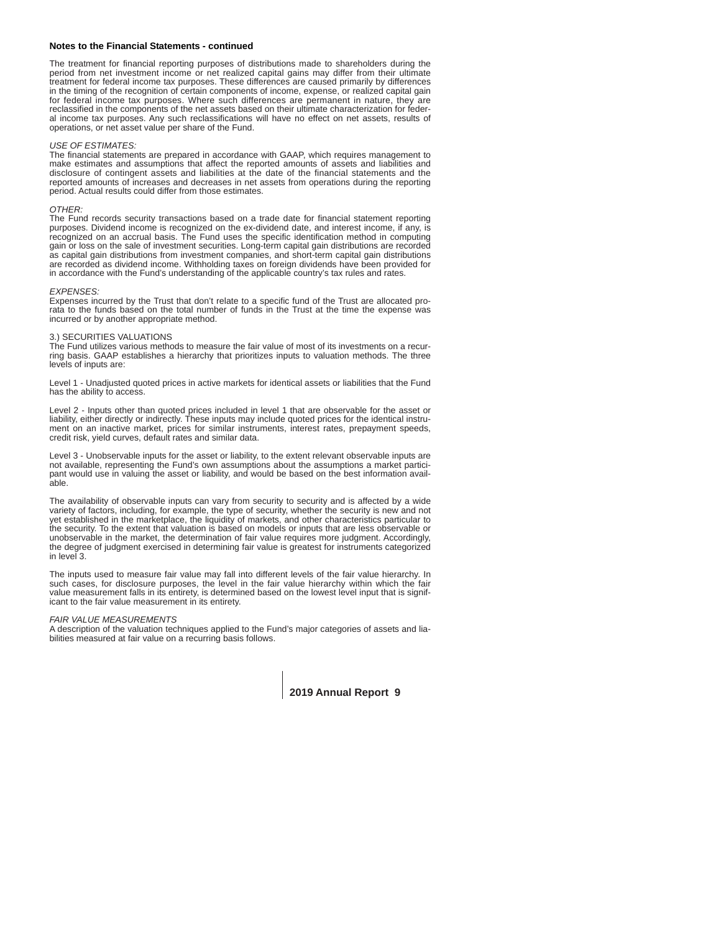The treatment for financial reporting purposes of distributions made to shareholders during the period from net investment income or net realized capital gains may differ from their ultimate treatment for federal income tax purposes. These differences are caused primarily by differences in the timing of the recognition of certain components of income, expense, or realized capital gain for federal income tax purposes. Where such differences are permanent in nature, they are reclassified in the components of the net assets based on their ultimate characterization for federal income tax purposes. Any such reclassifications will have no effect on net assets, results of operations, or net asset value per share of the Fund.

#### *USE OF ESTIMATES:*

The financial statements are prepared in accordance with GAAP, which requires management to make estimates and assumptions that affect the reported amounts of assets and liabilities and disclosure of contingent assets and liabilities at the date of the financial statements and the reported amounts of increases and decreases in net assets from operations during the reporting period. Actual results could differ from those estimates.

#### *OTHER:*

The Fund records security transactions based on a trade date for financial statement reporting purposes. Dividend income is recognized on the ex-dividend date, and interest income, if any, is recognized on an accrual basis. The Fund uses the specific identification method in computing gain or loss on the sale of investment securities. Long-term capital gain distributions are recorded as capital gain distributions from investment companies, and short-term capital gain distributions are recorded as dividend income. Withholding taxes on foreign dividends have been provided for in accordance with the Fund's understanding of the applicable country's tax rules and rates.

#### *EXPENSES:*

Expenses incurred by the Trust that don't relate to a specific fund of the Trust are allocated prorata to the funds based on the total number of funds in the Trust at the time the expense was incurred or by another appropriate method.

#### 3.) SECURITIES VALUATIONS

The Fund utilizes various methods to measure the fair value of most of its investments on a recurring basis. GAAP establishes a hierarchy that prioritizes inputs to valuation methods. The three levels of inputs are:

Level 1 - Unadjusted quoted prices in active markets for identical assets or liabilities that the Fund has the ability to access.

Level 2 - Inputs other than quoted prices included in level 1 that are observable for the asset or liability, either directly or indirectly. These inputs may include quoted prices for the identical instrument on an inactive market, prices for similar instruments, interest rates, prepayment speeds, credit risk, yield curves, default rates and similar data.

Level 3 - Unobservable inputs for the asset or liability, to the extent relevant observable inputs are not available, representing the Fund's own assumptions about the assumptions a market participant would use in valuing the asset or liability, and would be based on the best information available.

The availability of observable inputs can vary from security to security and is affected by a wide variety of factors, including, for example, the type of security, whether the security is new and not yet established in the marketplace, the liquidity of markets, and other characteristics particular to the security. To the extent that valuation is based on models or inputs that are less observable or unobservable in the market, the determination of fair value requires more judgment. Accordingly, the degree of judgment exercised in determining fair value is greatest for instruments categorized in level 3.

The inputs used to measure fair value may fall into different levels of the fair value hierarchy. In such cases, for disclosure purposes, the level in the fair value hierarchy within which the fair value measurement falls in its entirety, is determined based on the lowest level input that is significant to the fair value measurement in its entirety.

#### *FAIR VALUE MEASUREMENTS*

A description of the valuation techniques applied to the Fund's major categories of assets and liabilities measured at fair value on a recurring basis follows.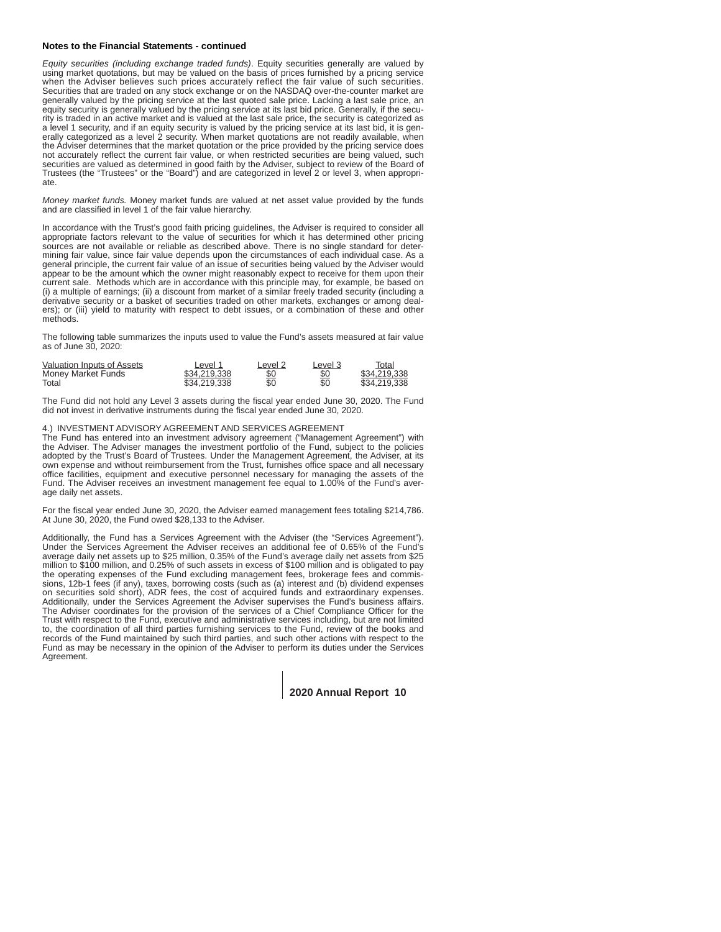*Equity securities (including exchange traded funds)*. Equity securities generally are valued by using market quotations, but may be valued on the basis of prices furnished by a pricing service when the Adviser believes such prices accurately reflect the fair value of such securities. Securities that are traded on any stock exchange or on the NASDAQ over-the-counter market are generally valued by the pricing service at the last quoted sale price. Lacking a last sale price, an equity security is generally valued by the pricing service at its last bid price. Generally, if the security is traded in an active market and is valued at the last sale price, the security is categorized as a level 1 security, and if an equity security is valued by the pricing service at its last bid, it is generally categorized as a level 2 security. When market quotations are not readily available, when the Adviser determines that the market quotation or the price provided by the pricing service does not accurately reflect the current fair value, or when restricted securities are being valued, such securities are valued as determined in good faith by the Adviser, subject to review of the Board of Trustees (the "Trustees" or the "Board") and are categorized in level 2 or level 3, when appropriate.

*Money market funds.* Money market funds are valued at net asset value provided by the funds and are classified in level 1 of the fair value hierarchy.

In accordance with the Trust's good faith pricing guidelines, the Adviser is required to consider all appropriate factors relevant to the value of securities for which it has determined other pricing sources are not available or reliable as described above. There is no single standard for determining fair value, since fair value depends upon the circumstances of each individual case. As a general principle, the current fair value of an issue of securities being valued by the Adviser would appear to be the amount which the owner might reasonably expect to receive for them upon their current sale. Methods which are in accordance with this principle may, for example, be based on (i) a multiple of earnings; (ii) a discount from market of a similar freely traded security (including a derivative security or a basket of securities traded on other markets, exchanges or among dealers); or (iii) yield to maturity with respect to debt issues, or a combination of these and other methods.

The following table summarizes the inputs used to value the Fund's assets measured at fair value as of June 30, 2020:

| Valuation Inputs of Assets | ∟evel 1      | Level 2 | Level 3 | Total        |
|----------------------------|--------------|---------|---------|--------------|
| Money Market Funds         | \$34.219.338 | \$0     | \$0     | \$34.219.338 |
| Total                      | \$34.219.338 | \$0     | \$0     | \$34.219.338 |

The Fund did not hold any Level 3 assets during the fiscal year ended June 30, 2020. The Fund did not invest in derivative instruments during the fiscal year ended June 30, 2020.

#### 4.) INVESTMENT ADVISORY AGREEMENT AND SERVICES AGREEMENT

The Fund has entered into an investment advisory agreement ("Management Agreement") with the Adviser. The Adviser manages the investment portfolio of the Fund, subject to the policies adopted by the Trust's Board of Trustees. Under the Management Agreement, the Adviser, at its own expense and without reimbursement from the Trust, furnishes office space and all necessary office facilities, equipment and executive personnel necessary for managing the assets of the Fund. The Adviser receives an investment management fee equal to 1.00% of the Fund's average daily net assets.

For the fiscal year ended June 30, 2020, the Adviser earned management fees totaling \$214,786. At June 30, 2020, the Fund owed \$28,133 to the Adviser.

Additionally, the Fund has a Services Agreement with the Adviser (the "Services Agreement"). Under the Services Agreement the Adviser receives an additional fee of 0.65% of the Fund's average daily net assets up to \$25 million, 0.35% of the Fund's average daily net assets from \$25 million to \$100 million, and 0.25% of such assets in excess of \$100 million and is obligated to pay the operating expenses of the Fund excluding management fees, brokerage fees and commissions, 12b-1 fees (if any), taxes, borrowing costs (such as (a) interest and (b) dividend expenses on securities sold short), ADR fees, the cost of acquired funds and extraordinary expenses. Additionally, under the Services Agreement the Adviser supervises the Fund's business affairs. The Adviser coordinates for the provision of the services of a Chief Compliance Officer for the Trust with respect to the Fund, executive and administrative services including, but are not limited to, the coordination of all third parties furnishing services to the Fund, review of the books and records of the Fund maintained by such third parties, and such other actions with respect to the Fund as may be necessary in the opinion of the Adviser to perform its duties under the Services Agreement.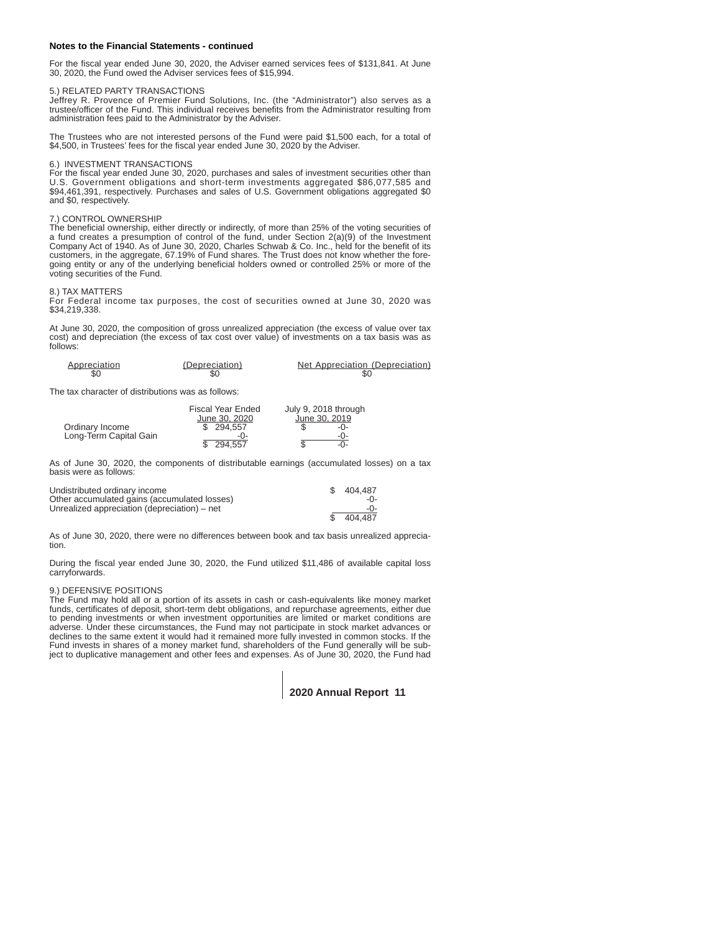For the fiscal year ended June 30, 2020, the Adviser earned services fees of \$131,841. At June 30, 2020, the Fund owed the Adviser services fees of \$15,994.

#### 5.) RELATED PARTY TRANSACTIONS

Jeffrey R. Provence of Premier Fund Solutions, Inc. (the "Administrator") also serves as a trustee/officer of the Fund. This individual receives benefits from the Administrator resulting from administration fees paid to the Administrator by the Adviser.

The Trustees who are not interested persons of the Fund were paid \$1,500 each, for a total of \$4,500, in Trustees' fees for the fiscal year ended June 30, 2020 by the Adviser.

#### 6.) INVESTMENT TRANSACTIONS

For the fiscal year ended June 30, 2020, purchases and sales of investment securities other than U.S. Government obligations and short-term investments aggregated \$86,077,585 and \$94,461,391, respectively. Purchases and sales of U.S. Government obligations aggregated \$0 and \$0, respectively.

#### 7.) CONTROL OWNERSHIP

The beneficial ownership, either directly or indirectly, of more than 25% of the voting securities of a fund creates a presumption of control of the fund, under Section 2(a)(9) of the Investment Company Act of 1940. As of June 30, 2020, Charles Schwab & Co. Inc., held for the benefit of its customers, in the aggregate, 67.19% of Fund shares. The Trust does not know whether the foregoing entity or any of the underlying beneficial holders owned or controlled 25% or more of the voting securities of the Fund.

#### 8.) TAX MATTERS

For Federal income tax purposes, the cost of securities owned at June 30, 2020 was \$34,219,338.

At June 30, 2020, the composition of gross unrealized appreciation (the excess of value over tax cost) and depreciation (the excess of tax cost over value) of investments on a tax basis was as follows:

| Appreciation | (Depreciation) | Net Appreciation (Depreciation) |
|--------------|----------------|---------------------------------|
|              |                |                                 |

The tax character of distributions was as follows:

|                        | <b>Fiscal Year Ended</b> | July 9, 2018 through |
|------------------------|--------------------------|----------------------|
|                        | June 30, 2020            | June 30, 2019        |
| Ordinary Income        | \$294.557                | -በ-                  |
| Long-Term Capital Gain | -0-                      | -ቦ-                  |
|                        | \$294.557                | -በ-                  |

As of June 30, 2020, the components of distributable earnings (accumulated losses) on a tax basis were as follows:

| Undistributed ordinary income                | \$404.487 |
|----------------------------------------------|-----------|
| Other accumulated gains (accumulated losses) | $-0-$     |
| Unrealized appreciation (depreciation) – net | $-()$ -   |
|                                              | \$404.487 |

As of June 30, 2020, there were no differences between book and tax basis unrealized appreciation.

During the fiscal year ended June 30, 2020, the Fund utilized \$11,486 of available capital loss carryforwards.

#### 9.) DEFENSIVE POSITIONS

The Fund may hold all or a portion of its assets in cash or cash-equivalents like money market funds, certificates of deposit, short-term debt obligations, and repurchase agreements, either due to pending investments or when investment opportunities are limited or market conditions are adverse. Under these circumstances, the Fund may not participate in stock market advances or declines to the same extent it would had it remained more fully invested in common stocks. If the Fund invests in shares of a money market fund, shareholders of the Fund generally will be subject to duplicative management and other fees and expenses. As of June 30, 2020, the Fund had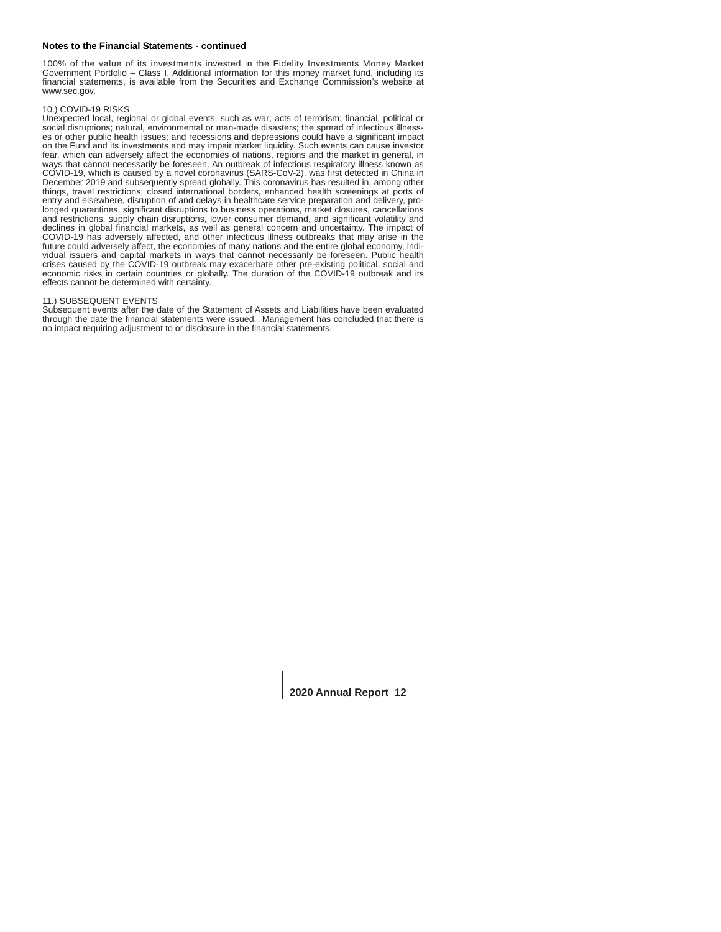100% of the value of its investments invested in the Fidelity Investments Money Market Government Portfolio – Class I. Additional information for this money market fund, including its financial statements, is available from the Securities and Exchange Commission's website at www.sec.gov.

#### 10.) COVID-19 RISKS

Unexpected local, regional or global events, such as war; acts of terrorism; financial, political or social disruptions; natural, environmental or man-made disasters; the spread of infectious illnesses or other public health issues; and recessions and depressions could have a significant impact on the Fund and its investments and may impair market liquidity. Such events can cause investor fear, which can adversely affect the economies of nations, regions and the market in general, in ways that cannot necessarily be foreseen. An outbreak of infectious respiratory illness known as COVID-19, which is caused by a novel coronavirus (SARS-CoV-2), was first detected in China in December 2019 and subsequently spread globally. This coronavirus has resulted in, among other things, travel restrictions, closed international borders, enhanced health screenings at ports of entry and elsewhere, disruption of and delays in healthcare service preparation and delivery, prolonged quarantines, significant disruptions to business operations, market closures, cancellations and restrictions, supply chain disruptions, lower consumer demand, and significant volatility and declines in global financial markets, as well as general concern and uncertainty. The impact of COVID-19 has adversely affected, and other infectious illness outbreaks that may arise in the future could adversely affect, the economies of many nations and the entire global economy, individual issuers and capital markets in ways that cannot necessarily be foreseen. Public health crises caused by the COVID-19 outbreak may exacerbate other pre-existing political, social and economic risks in certain countries or globally. The duration of the COVID-19 outbreak and its effects cannot be determined with certainty.

#### 11.) SUBSEQUENT EVENTS

Subsequent events after the date of the Statement of Assets and Liabilities have been evaluated through the date the financial statements were issued. Management has concluded that there is no impact requiring adjustment to or disclosure in the financial statements.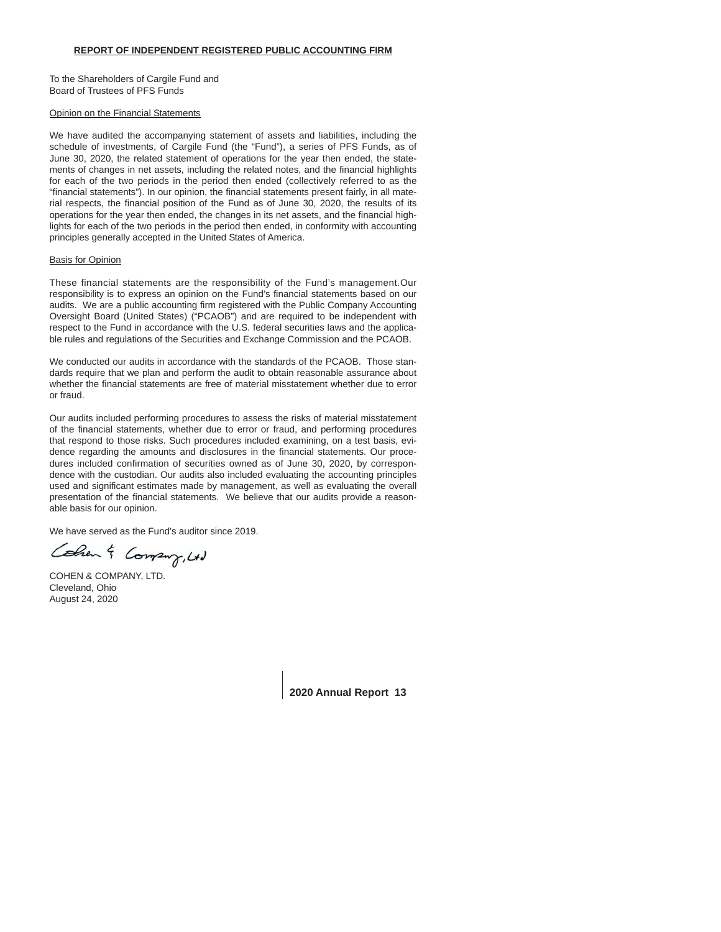# **REPORT OF INDEPENDENT REGISTERED PUBLIC ACCOUNTING FIRM**

To the Shareholders of Cargile Fund and Board of Trustees of PFS Funds

# Opinion on the Financial Statements

We have audited the accompanying statement of assets and liabilities, including the schedule of investments, of Cargile Fund (the "Fund"), a series of PFS Funds, as of June 30, 2020, the related statement of operations for the year then ended, the statements of changes in net assets, including the related notes, and the financial highlights for each of the two periods in the period then ended (collectively referred to as the "financial statements"). In our opinion, the financial statements present fairly, in all material respects, the financial position of the Fund as of June 30, 2020, the results of its operations for the year then ended, the changes in its net assets, and the financial highlights for each of the two periods in the period then ended, in conformity with accounting principles generally accepted in the United States of America.

# Basis for Opinion

These financial statements are the responsibility of the Fund's management.Our responsibility is to express an opinion on the Fund's financial statements based on our audits. We are a public accounting firm registered with the Public Company Accounting Oversight Board (United States) ("PCAOB") and are required to be independent with respect to the Fund in accordance with the U.S. federal securities laws and the applicable rules and regulations of the Securities and Exchange Commission and the PCAOB.

We conducted our audits in accordance with the standards of the PCAOB. Those standards require that we plan and perform the audit to obtain reasonable assurance about whether the financial statements are free of material misstatement whether due to error or fraud.

Our audits included performing procedures to assess the risks of material misstatement of the financial statements, whether due to error or fraud, and performing procedures that respond to those risks. Such procedures included examining, on a test basis, evidence regarding the amounts and disclosures in the financial statements. Our procedures included confirmation of securities owned as of June 30, 2020, by correspondence with the custodian. Our audits also included evaluating the accounting principles used and significant estimates made by management, as well as evaluating the overall presentation of the financial statements. We believe that our audits provide a reasonable basis for our opinion.

We have served as the Fund's auditor since 2019.

Cohen & Company, Ltd

COHEN & COMPANY, LTD. Cleveland, Ohio August 24, 2020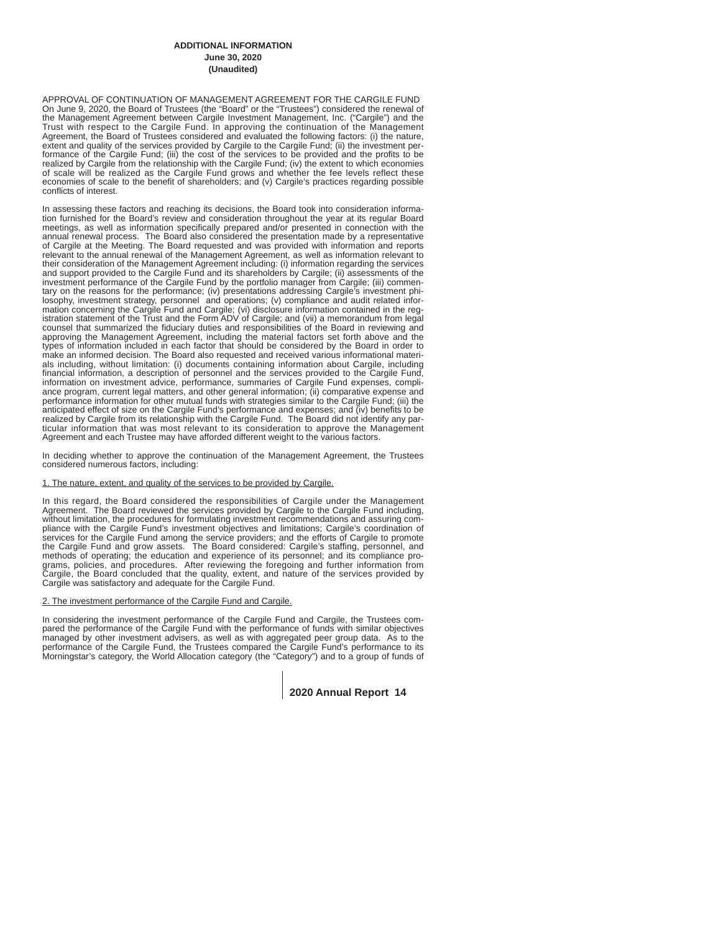# **ADDITIONAL INFORMATION June 30, 2020 (Unaudited)**

APPROVAL OF CONTINUATION OF MANAGEMENT AGREEMENT FOR THE CARGILE FUND On June 9, 2020, the Board of Trustees (the "Board" or the "Trustees") considered the renewal of the Management Agreement between Cargile Investment Management, Inc. ("Cargile") and the Trust with respect to the Cargile Fund. In approving the continuation of the Management Agreement, the Board of Trustees considered and evaluated the following factors: (i) the nature, extent and quality of the services provided by Cargile to the Cargile Fund; (ii) the investment performance of the Cargile Fund; (iii) the cost of the services to be provided and the profits to be realized by Cargile from the relationship with the Cargile Fund; (iv) the extent to which economies of scale will be realized as the Cargile Fund grows and whether the fee levels reflect these economies of scale to the benefit of shareholders; and (v) Cargile's practices regarding possible conflicts of interest.

In assessing these factors and reaching its decisions, the Board took into consideration information furnished for the Board's review and consideration throughout the year at its regular Board meetings, as well as information specifically prepared and/or presented in connection with the annual renewal process. The Board also considered the presentation made by a representative of Cargile at the Meeting. The Board requested and was provided with information and reports relevant to the annual renewal of the Management Agreement, as well as information relevant to their consideration of the Management Agreement including: (i) information regarding the services and support provided to the Cargile Fund and its shareholders by Cargile; (ii) assessments of the investment performance of the Cargile Fund by the portfolio manager from Cargile; (iii) commentary on the reasons for the performance; (iv) presentations addressing Cargile's investment philosophy, investment strategy, personnel and operations; (v) compliance and audit related information concerning the Cargile Fund and Cargile; (vi) disclosure information contained in the registration statement of the Trust and the Form ADV of Cargile; and (vii) a memorandum from legal counsel that summarized the fiduciary duties and responsibilities of the Board in reviewing and approving the Management Agreement, including the material factors set forth above and the types of information included in each factor that should be considered by the Board in order to make an informed decision. The Board also requested and received various informational materials including, without limitation: (i) documents containing information about Cargile, including financial information, a description of personnel and the services provided to the Cargile Fund, information on investment advice, performance, summaries of Cargile Fund expenses, compliance program, current legal matters, and other general information; (ii) comparative expense and performance information for other mutual funds with strategies similar to the Cargile Fund; (iii) the anticipated effect of size on the Cargile Fund's performance and expenses; and (iv) benefits to be realized by Cargile from its relationship with the Cargile Fund. The Board did not identify any particular information that was most relevant to its consideration to approve the Management Agreement and each Trustee may have afforded different weight to the various factors.

In deciding whether to approve the continuation of the Management Agreement, the Trustees considered numerous factors, including:

#### 1. The nature, extent, and quality of the services to be provided by Cargile.

In this regard, the Board considered the responsibilities of Cargile under the Management Agreement. The Board reviewed the services provided by Cargile to the Cargile Fund including, without limitation, the procedures for formulating investment recommendations and assuring compliance with the Cargile Fund's investment objectives and limitations; Cargile's coordination of services for the Cargile Fund among the service providers; and the efforts of Cargile to promote<br>the Cargile Fund and grow assets. The Board considered: Cargile's staffing, personnel, and<br>methods of operating; the educatio grams, policies, and procedures. After reviewing the foregoing and further information from Cargile, the Board concluded that the quality, extent, and nature of the services provided by Cargile was satisfactory and adequate for the Cargile Fund.

#### 2. The investment performance of the Cargile Fund and Cargile.

In considering the investment performance of the Cargile Fund and Cargile, the Trustees com-pared the performance of the Cargile Fund with the performance of funds with similar objectives managed by other investment advisers, as well as with aggregated peer group data. As to the performance of the Cargile Fund, the Trustees compared the Cargile Fund's performance to its Morningstar's category, the World Allocation category (the "Category") and to a group of funds of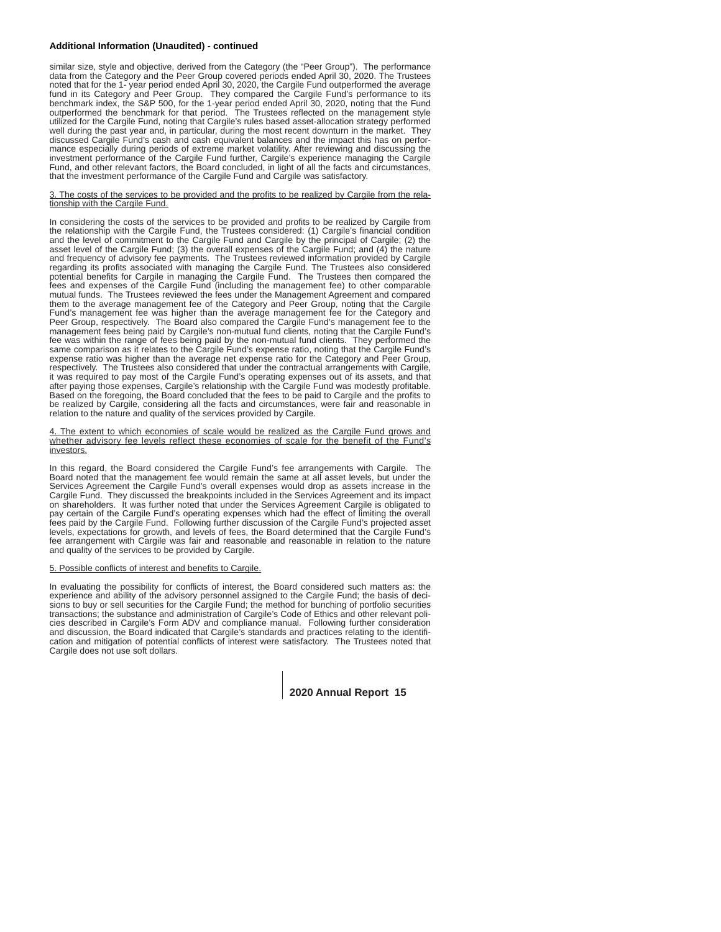# **Additional Information (Unaudited) - continued**

similar size, style and objective, derived from the Category (the "Peer Group"). The performance data from the Category and the Peer Group covered periods ended April 30, 2020. The Trustees noted that for the 1- year period ended April 30, 2020, the Cargile Fund outperformed the average fund in its Category and Peer Group. They compared the Cargile Fund's performance to its benchmark index, the S&P 500, for the 1-year period ended April 30, 2020, noting that the Fund outperformed the benchmark for that period. The Trustees reflected on the management style utilized for the Cargile Fund, noting that Cargile's rules based asset-allocation strategy performed well during the past year and, in particular, during the most recent downturn in the market. They discussed Cargile Fund's cash and cash equivalent balances and the impact this has on performance especially during periods of extreme market volatility. After reviewing and discussing the investment performance of the Cargile Fund further, Cargile's experience managing the Cargile Fund, and other relevant factors, the Board concluded, in light of all the facts and circumstances, that the investment performance of the Cargile Fund and Cargile was satisfactory.

#### 3. The costs of the services to be provided and the profits to be realized by Cargile from the relationship with the Cargile Fund.

In considering the costs of the services to be provided and profits to be realized by Cargile from the relationship with the Cargile Fund, the Trustees considered: (1) Cargile's financial condition and the level of commitment to the Cargile Fund and Cargile by the principal of Cargile; (2) the asset level of the Cargile Fund; (3) the overall expenses of the Cargile Fund; and (4) the nature and frequency of advisory fee payments. The Trustees reviewed information provided by Cargile regarding its profits associated with managing the Cargile Fund. The Trustees also considered potential benefits for Cargile in managing the Cargile Fund. The Trustees then compared the fees and expenses of the Cargile Fund (including the management fee) to other comparable mutual funds. The Trustees reviewed the fees under the Management Agreement and compared them to the average management fee of the Category and Peer Group, noting that the Cargile Fund's management fee was higher than the average management fee for the Category and Peer Group, respectively. The Board also compared the Cargile Fund's management fee to the management fees being paid by Cargile's non-mutual fund clients, noting that the Cargile Fund's fee was within the range of fees being paid by the non-mutual fund clients. They performed the same comparison as it relates to the Cargile Fund's expense ratio, noting that the Cargile Fund's expense ratio was higher than the average net expense ratio for the Category and Peer Group, respectively. The Trustees also considered that under the contractual arrangements with Cargile, it was required to pay most of the Cargile Fund's operating expenses out of its assets, and that after paying those expenses, Cargile's relationship with the Cargile Fund was modestly profitable. Based on the foregoing, the Board concluded that the fees to be paid to Cargile and the profits to be realized by Cargile, considering all the facts and circumstances, were fair and reasonable in relation to the nature and quality of the services provided by Cargile.

#### 4. The extent to which economies of scale would be realized as the Cargile Fund grows and whether advisory fee levels reflect these economies of scale for the benefit of the Fund's investors.

In this regard, the Board considered the Cargile Fund's fee arrangements with Cargile. The Board noted that the management fee would remain the same at all asset levels, but under the Services Agreement the Cargile Fund's overall expenses would drop as assets increase in the Cargile Fund. They discussed the breakpoints included in the Services Agreement and its impact on shareholders. It was further noted that under the Services Agreement Cargile is obligated to pay certain of the Cargile Fund's operating expenses which had the effect of limiting the overall fees paid by the Cargile Fund. Following further discussion of the Cargile Fund's projected asset levels, expectations for growth, and levels of fees, the Board determined that the Cargile Fund's fee arrangement with Cargile was fair and reasonable and reasonable in relation to the nature and quality of the services to be provided by Cargile.

#### 5. Possible conflicts of interest and benefits to Cargile.

In evaluating the possibility for conflicts of interest, the Board considered such matters as: the experience and ability of the advisory personnel assigned to the Cargile Fund; the basis of decisions to buy or sell securities for the Cargile Fund; the method for bunching of portfolio securities transactions; the substance and administration of Cargile's Code of Ethics and other relevant policies described in Cargile's Form ADV and compliance manual. Following further consideration and discussion, the Board indicated that Cargile's standards and practices relating to the identification and mitigation of potential conflicts of interest were satisfactory. The Trustees noted that Cargile does not use soft dollars.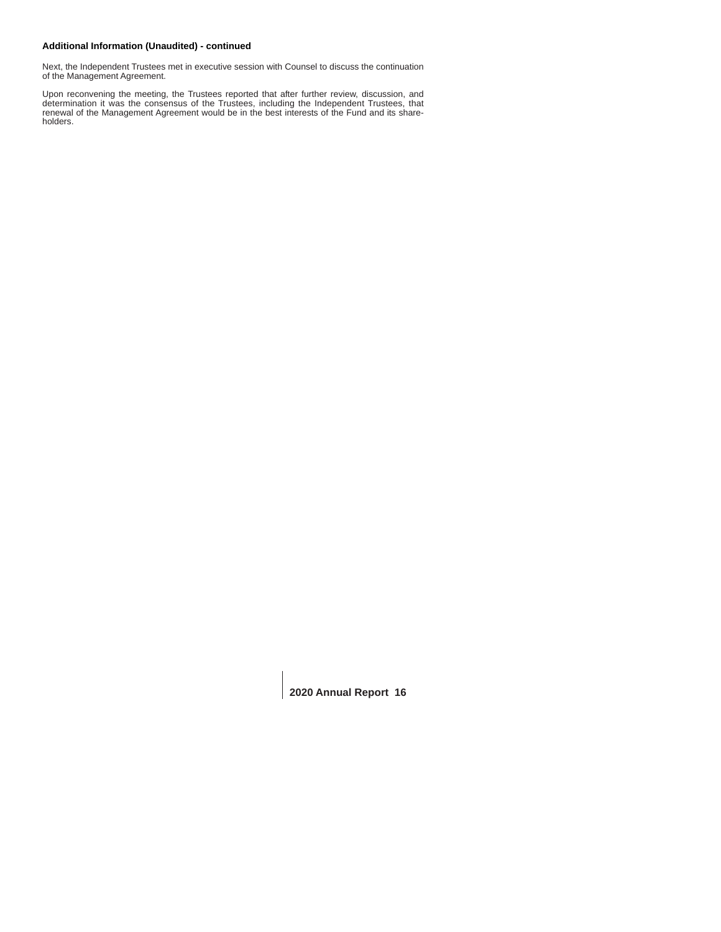# **Additional Information (Unaudited) - continued**

Next, the Independent Trustees met in executive session with Counsel to discuss the continuation of the Management Agreement.

Upon reconvening the meeting, the Trustees reported that after further review, discussion, and determination it was the consensus of the Trustees, including the Independent Trustees, that renewal of the Management Agreement would be in the best interests of the Fund and its shareholders.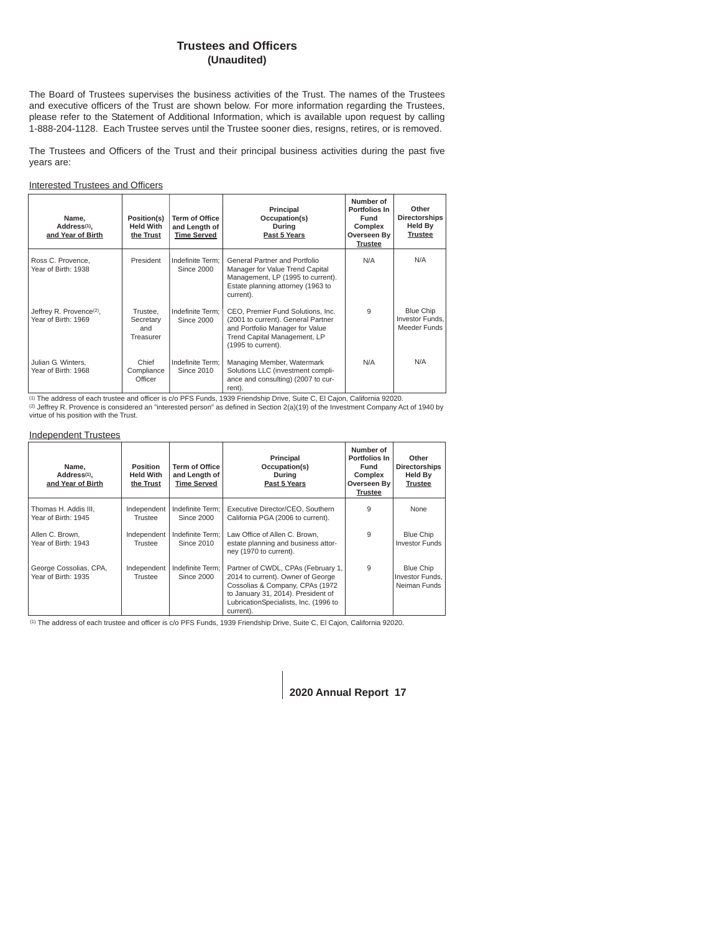# **Trustees and Officers (Unaudited)**

The Board of Trustees supervises the business activities of the Trust. The names of the Trustees and executive officers of the Trust are shown below. For more information regarding the Trustees, please refer to the Statement of Additional Information, which is available upon request by calling 1-888-204-1128. Each Trustee serves until the Trustee sooner dies, resigns, retires, or is removed.

The Trustees and Officers of the Trust and their principal business activities during the past five years are:

#### Interested Trustees and Officers

| Name.<br>Address <sup>(1)</sup> ,<br>and Year of Birth      | Position(s)<br><b>Held With</b><br>the Trust | <b>Term of Office</b><br>and Length of<br><b>Time Served</b> | Principal<br>Occupation(s)<br>During<br>Past 5 Years                                                                                                             | Number of<br>Portfolios In<br>Fund<br>Complex<br>Overseen By<br><b>Trustee</b> | Other<br><b>Directorships</b><br>Held By<br><b>Trustee</b> |
|-------------------------------------------------------------|----------------------------------------------|--------------------------------------------------------------|------------------------------------------------------------------------------------------------------------------------------------------------------------------|--------------------------------------------------------------------------------|------------------------------------------------------------|
| Ross C. Provence.<br>Year of Birth: 1938                    | President                                    | Indefinite Term:<br><b>Since 2000</b>                        | General Partner and Portfolio<br>Manager for Value Trend Capital<br>Management, LP (1995 to current).<br>Estate planning attorney (1963 to<br>current).          | N/A                                                                            | N/A                                                        |
| Jeffrey R. Provence <sup>(2)</sup> ,<br>Year of Birth: 1969 | Trustee.<br>Secretary<br>and<br>Treasurer    | Indefinite Term: I<br><b>Since 2000</b>                      | CEO. Premier Fund Solutions. Inc.<br>(2001 to current). General Partner<br>and Portfolio Manager for Value<br>Trend Capital Management, LP<br>(1995 to current). | 9                                                                              | Blue Chip<br>Investor Funds,<br>Meeder Funds               |
| Julian G. Winters.<br>Year of Birth: 1968                   | Chief<br>Compliance<br>Officer               | Indefinite Term:<br>Since 2010                               | Managing Member, Watermark<br>Solutions LLC (investment compli-<br>ance and consulting) (2007 to cur-<br>rent).                                                  | N/A                                                                            | N/A                                                        |

(1) The address of each trustee and officer is c/o PFS Funds, 1939 Friendship Drive, Suite C, El Cajon, California 92020. (2) Jeffrey R. Provence is considered an "interested person" as defined in Section 2(a)(19) of the Investment Company Act of 1940 by virtue of his position with the Trust.

#### Independent Trustees

| Name.<br>Address <sup>(1)</sup> .<br>and Year of Birth | <b>Position</b><br><b>Held With</b><br>the Trust | <b>Term of Office</b><br>and Length of<br><b>Time Served</b> | Principal<br>Occupation(s)<br><b>During</b><br>Past 5 Years                                                                                                                                             | Number of<br>Portfolios In<br>Fund<br>Complex<br>Overseen By<br><b>Trustee</b> | Other<br><b>Directorships</b><br>Held By<br><b>Trustee</b> |
|--------------------------------------------------------|--------------------------------------------------|--------------------------------------------------------------|---------------------------------------------------------------------------------------------------------------------------------------------------------------------------------------------------------|--------------------------------------------------------------------------------|------------------------------------------------------------|
| Thomas H. Addis III.<br>Year of Birth: 1945            | Independent<br>Trustee                           | Indefinite Term: I<br>Since 2000                             | Executive Director/CEO, Southern<br>California PGA (2006 to current).                                                                                                                                   | $\mathbf{Q}$                                                                   | None                                                       |
| Allen C. Brown.<br>Year of Birth: 1943                 | Independent<br>Trustee                           | Indefinite Term: I<br>Since 2010                             | Law Office of Allen C. Brown.<br>estate planning and business attor-<br>ney (1970 to current).                                                                                                          | 9                                                                              | Blue Chip<br><b>Investor Funds</b>                         |
| George Cossolias, CPA,<br>Year of Birth: 1935          | Independent<br>Trustee                           | Indefinite Term: I<br>Since 2000                             | Partner of CWDL, CPAs (February 1,<br>2014 to current). Owner of George<br>Cossolias & Company, CPAs (1972)<br>to January 31, 2014). President of<br>LubricationSpecialists, Inc. (1996 to<br>current). | 9                                                                              | Blue Chip<br>Investor Funds,<br>Neiman Funds               |

(1) The address of each trustee and officer is c/o PFS Funds, 1939 Friendship Drive, Suite C, El Cajon, California 92020.